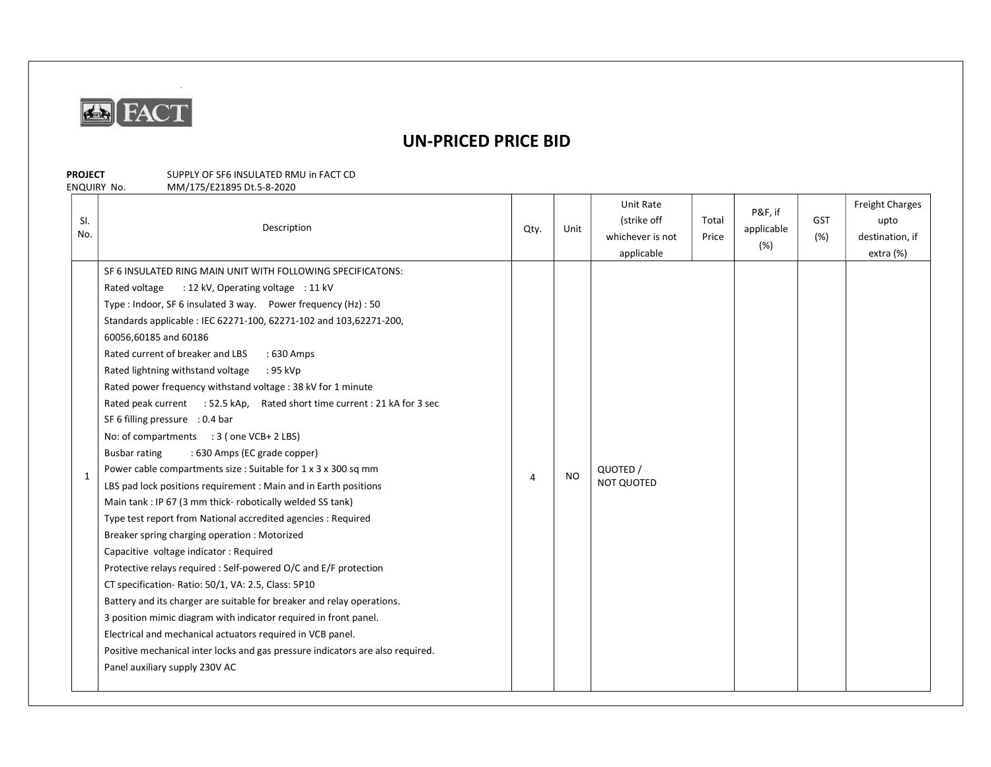

## UN-PRICED PRICE BID

| SI.<br>No.   | Description                                                                                                                                                                                                                                                                                                                                                                                                                                                                                                                                                                                                                                                                                                                                                                                                                                                                                                                                                                                                                                                                                                                                                                                                                                                                                                                                                                                                                                                                                          | Qty. | Unit | Unit Rate<br>(strike off<br>whichever is not<br>applicable | Total<br>Price | P&F, if<br>applicable<br>(%) | <b>GST</b><br>(%) | Freight Charges<br>upto<br>destination, if<br>extra (%) |
|--------------|------------------------------------------------------------------------------------------------------------------------------------------------------------------------------------------------------------------------------------------------------------------------------------------------------------------------------------------------------------------------------------------------------------------------------------------------------------------------------------------------------------------------------------------------------------------------------------------------------------------------------------------------------------------------------------------------------------------------------------------------------------------------------------------------------------------------------------------------------------------------------------------------------------------------------------------------------------------------------------------------------------------------------------------------------------------------------------------------------------------------------------------------------------------------------------------------------------------------------------------------------------------------------------------------------------------------------------------------------------------------------------------------------------------------------------------------------------------------------------------------------|------|------|------------------------------------------------------------|----------------|------------------------------|-------------------|---------------------------------------------------------|
| $\mathbf{1}$ | SF 6 INSULATED RING MAIN UNIT WITH FOLLOWING SPECIFICATONS:<br>Rated voltage<br>: 12 kV, Operating voltage : 11 kV<br>Type: Indoor, SF 6 insulated 3 way.  Power frequency (Hz): 50<br>Standards applicable : IEC 62271-100, 62271-102 and 103,62271-200,<br>60056,60185 and 60186<br>Rated current of breaker and LBS<br>$:630$ Amps<br>Rated lightning withstand voltage<br>: 95 kVp<br>Rated power frequency withstand voltage: 38 kV for 1 minute<br>Rated peak current : 52.5 kAp, Rated short time current : 21 kA for 3 sec<br>SF 6 filling pressure : 0.4 bar<br>No: of compartments : 3 (one VCB+ 2 LBS)<br><b>Busbar rating</b><br>: 630 Amps (EC grade copper)<br>Power cable compartments size : Suitable for 1 x 3 x 300 sq mm<br>LBS pad lock positions requirement : Main and in Earth positions<br>Main tank : IP 67 (3 mm thick- robotically welded SS tank)<br>Type test report from National accredited agencies : Required<br>Breaker spring charging operation : Motorized<br>Capacitive voltage indicator: Required<br>Protective relays required : Self-powered O/C and E/F protection<br>CT specification- Ratio: 50/1, VA: 2.5, Class: 5P10<br>Battery and its charger are suitable for breaker and relay operations.<br>3 position mimic diagram with indicator required in front panel.<br>Electrical and mechanical actuators required in VCB panel.<br>Positive mechanical inter locks and gas pressure indicators are also required.<br>Panel auxiliary supply 230V AC | 4    | NO   | QUOTED /<br><b>NOT QUOTED</b>                              |                |                              |                   |                                                         |